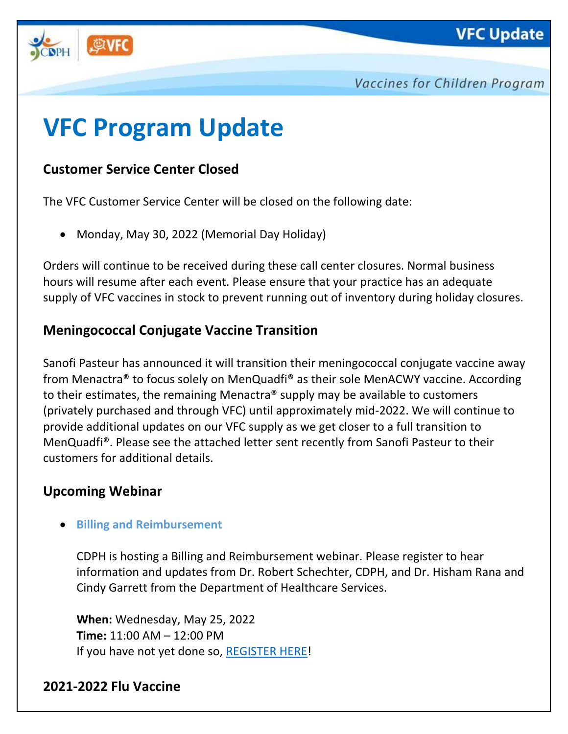



Vaccines for Children Program

# **VFC Program Update**

# **Customer Service Center Closed**

The VFC Customer Service Center will be closed on the following date:

• Monday, May 30, 2022 (Memorial Day Holiday)

Orders will continue to be received during these call center closures. Normal business hours will resume after each event. Please ensure that your practice has an adequate supply of VFC vaccines in stock to prevent running out of inventory during holiday closures.

## **Meningococcal Conjugate Vaccine Transition**

Sanofi Pasteur has announced it will transition their meningococcal conjugate vaccine away from Menactra® to focus solely on MenQuadfi® as their sole MenACWY vaccine. According to their estimates, the remaining Menactra® supply may be available to customers (privately purchased and through VFC) until approximately mid-2022. We will continue to provide additional updates on our VFC supply as we get closer to a full transition to MenQuadfi®. Please see the attached letter sent recently from Sanofi Pasteur to their customers for additional details.

## **Upcoming Webinar**

#### • **Billing and Reimbursement**

CDPH is hosting a Billing and Reimbursement webinar. Please register to hear information and updates from Dr. Robert Schechter, CDPH, and Dr. Hisham Rana and Cindy Garrett from the Department of Healthcare Services.

**When:** Wednesday, May 25, 2022 **Time:** 11:00 AM – 12:00 PM If you have not yet done so, [REGISTER HERE!](https://us06web.zoom.us/webinar/register/WN_Cs-Kt5ZJSoWE93PaUFhTnQ)

## **2021-2022 Flu Vaccine**